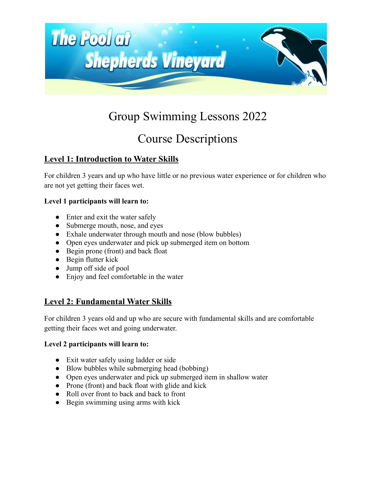

# Group Swimming Lessons 2022

## Course Descriptions

## **Level 1: Introduction to Water Skills**

For children 3 years and up who have little or no previous water experience or for children who are not yet getting their faces wet.

#### **Level 1 participants will learn to:**

- Enter and exit the water safely
- Submerge mouth, nose, and eyes
- Exhale underwater through mouth and nose (blow bubbles)
- Open eyes underwater and pick up submerged item on bottom
- Begin prone (front) and back float
- Begin flutter kick
- Jump off side of pool
- Enjoy and feel comfortable in the water

## **Level 2: Fundamental Water Skills**

For children 3 years old and up who are secure with fundamental skills and are comfortable getting their faces wet and going underwater.

#### **Level 2 participants will learn to:**

- Exit water safely using ladder or side
- Blow bubbles while submerging head (bobbing)
- Open eyes underwater and pick up submerged item in shallow water
- Prone (front) and back float with glide and kick
- Roll over front to back and back to front
- Begin swimming using arms with kick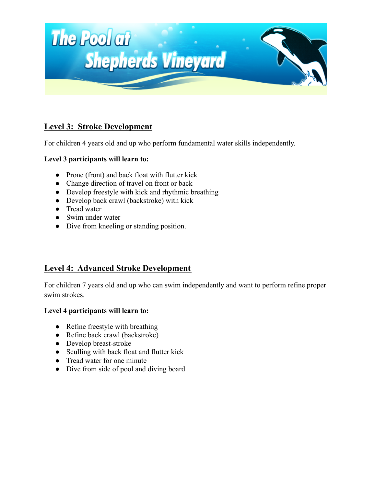

### **Level 3: Stroke Development**

For children 4 years old and up who perform fundamental water skills independently.

#### **Level 3 participants will learn to:**

- Prone (front) and back float with flutter kick
- Change direction of travel on front or back
- Develop freestyle with kick and rhythmic breathing
- Develop back crawl (backstroke) with kick
- Tread water
- Swim under water
- Dive from kneeling or standing position.

### **Level 4: Advanced Stroke Development**

For children 7 years old and up who can swim independently and want to perform refine proper swim strokes.

#### **Level 4 participants will learn to:**

- Refine freestyle with breathing
- Refine back crawl (backstroke)
- Develop breast-stroke
- Sculling with back float and flutter kick
- Tread water for one minute
- Dive from side of pool and diving board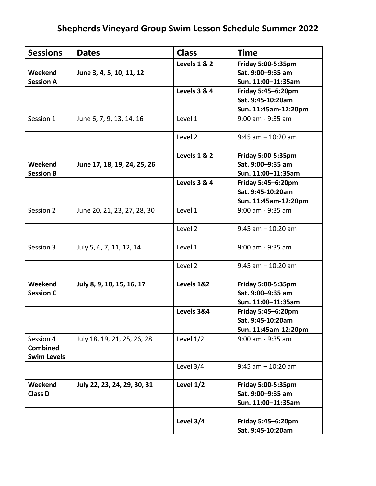## **Shepherds Vineyard Group Swim Lesson Schedule Summer 2022**

| <b>Sessions</b>    | <b>Dates</b>                | <b>Class</b>            | <b>Time</b>           |
|--------------------|-----------------------------|-------------------------|-----------------------|
|                    |                             | <b>Levels 1 &amp; 2</b> | Friday 5:00-5:35pm    |
| Weekend            | June 3, 4, 5, 10, 11, 12    |                         | Sat. 9:00-9:35 am     |
| <b>Session A</b>   |                             |                         | Sun. 11:00-11:35am    |
|                    |                             | Levels 3 & 4            | Friday 5:45-6:20pm    |
|                    |                             |                         | Sat. 9:45-10:20am     |
|                    |                             |                         | Sun. 11:45am-12:20pm  |
| Session 1          | June 6, 7, 9, 13, 14, 16    | Level 1                 | 9:00 am - 9:35 am     |
|                    |                             | Level 2                 | $9:45$ am $-10:20$ am |
|                    |                             | <b>Levels 1 &amp; 2</b> | Friday 5:00-5:35pm    |
| Weekend            | June 17, 18, 19, 24, 25, 26 |                         | Sat. 9:00-9:35 am     |
| <b>Session B</b>   |                             |                         | Sun. 11:00-11:35am    |
|                    |                             | Levels 3 & 4            | Friday 5:45-6:20pm    |
|                    |                             |                         | Sat. 9:45-10:20am     |
|                    |                             |                         | Sun. 11:45am-12:20pm  |
| Session 2          | June 20, 21, 23, 27, 28, 30 | Level 1                 | 9:00 am - 9:35 am     |
|                    |                             | Level 2                 | $9:45$ am $-10:20$ am |
| Session 3          | July 5, 6, 7, 11, 12, 14    | Level 1                 | 9:00 am - 9:35 am     |
|                    |                             | Level 2                 | $9:45$ am $-10:20$ am |
| Weekend            | July 8, 9, 10, 15, 16, 17   | Levels 1&2              | Friday 5:00-5:35pm    |
| <b>Session C</b>   |                             |                         | Sat. 9:00-9:35 am     |
|                    |                             |                         | Sun. 11:00-11:35am    |
|                    |                             | Levels 3&4              | Friday 5:45-6:20pm    |
|                    |                             |                         | Sat. 9:45-10:20am     |
|                    |                             |                         | Sun. 11:45am-12:20pm  |
| Session 4          | July 18, 19, 21, 25, 26, 28 | Level 1/2               | 9:00 am - 9:35 am     |
| <b>Combined</b>    |                             |                         |                       |
| <b>Swim Levels</b> |                             |                         |                       |
|                    |                             | Level 3/4               | $9:45$ am $-10:20$ am |
|                    |                             |                         |                       |
| Weekend            | July 22, 23, 24, 29, 30, 31 | Level 1/2               | Friday 5:00-5:35pm    |
| <b>Class D</b>     |                             |                         | Sat. 9:00-9:35 am     |
|                    |                             |                         | Sun. 11:00-11:35am    |
|                    |                             |                         |                       |
|                    |                             | Level 3/4               | Friday 5:45-6:20pm    |
|                    |                             |                         | Sat. 9:45-10:20am     |